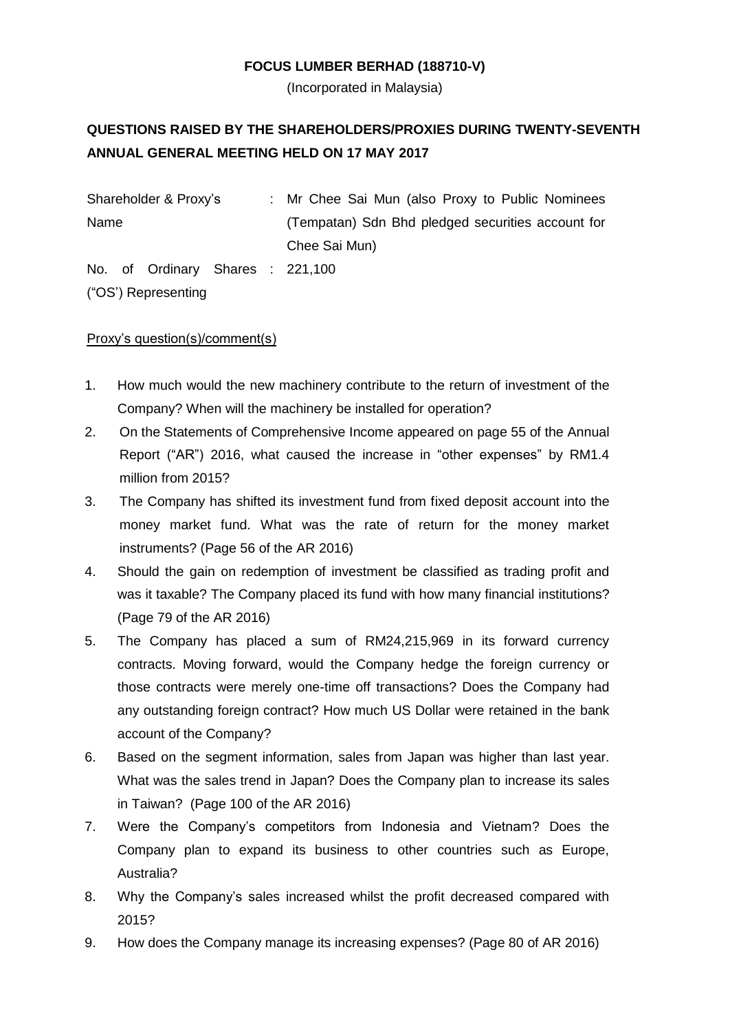## **FOCUS LUMBER BERHAD (188710-V)**

(Incorporated in Malaysia)

# **QUESTIONS RAISED BY THE SHAREHOLDERS/PROXIES DURING TWENTY-SEVENTH ANNUAL GENERAL MEETING HELD ON 17 MAY 2017**

Shareholder & Proxy's : Mr Chee Sai Mun (also Proxy to Public Nominees Name (Tempatan) Sdn Bhd pledged securities account for Chee Sai Mun)

No. of Ordinary Shares : 221,100 ("OS') Representing

## Proxy's question(s)/comment(s)

- 1. How much would the new machinery contribute to the return of investment of the Company? When will the machinery be installed for operation?
- 2. On the Statements of Comprehensive Income appeared on page 55 of the Annual Report ("AR") 2016, what caused the increase in "other expenses" by RM1.4 million from 2015?
- 3. The Company has shifted its investment fund from fixed deposit account into the money market fund. What was the rate of return for the money market instruments? (Page 56 of the AR 2016)
- 4. Should the gain on redemption of investment be classified as trading profit and was it taxable? The Company placed its fund with how many financial institutions? (Page 79 of the AR 2016)
- 5. The Company has placed a sum of RM24,215,969 in its forward currency contracts. Moving forward, would the Company hedge the foreign currency or those contracts were merely one-time off transactions? Does the Company had any outstanding foreign contract? How much US Dollar were retained in the bank account of the Company?
- 6. Based on the segment information, sales from Japan was higher than last year. What was the sales trend in Japan? Does the Company plan to increase its sales in Taiwan? (Page 100 of the AR 2016)
- 7. Were the Company's competitors from Indonesia and Vietnam? Does the Company plan to expand its business to other countries such as Europe, Australia?
- 8. Why the Company's sales increased whilst the profit decreased compared with 2015?
- 9. How does the Company manage its increasing expenses? (Page 80 of AR 2016)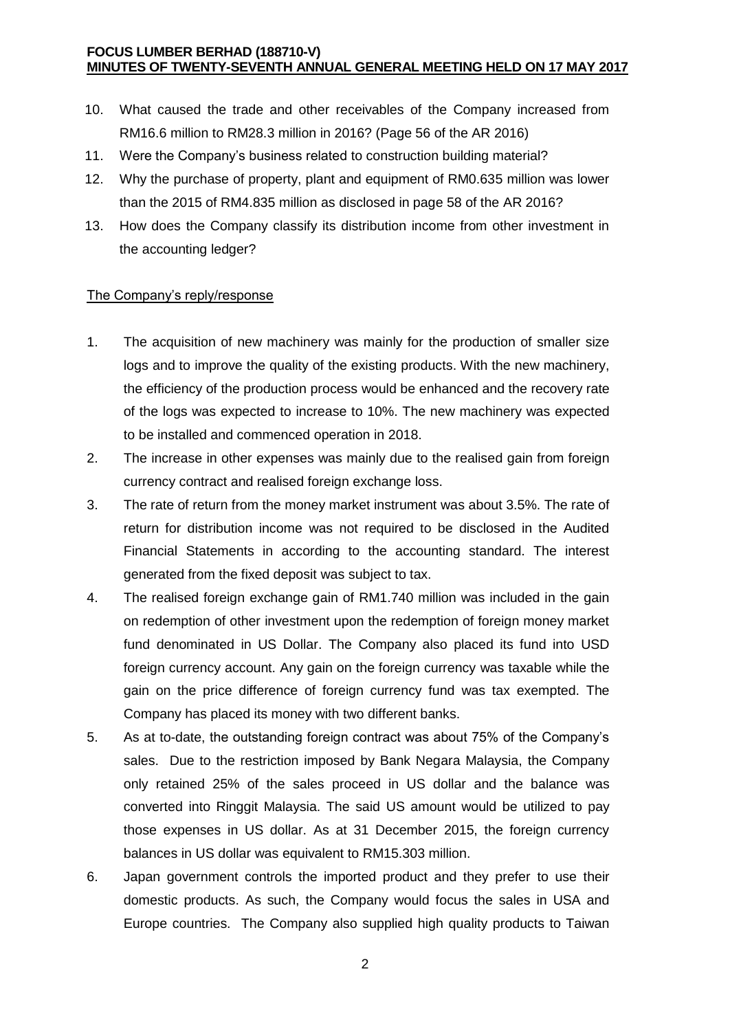#### **FOCUS LUMBER BERHAD (188710-V) MINUTES OF TWENTY-SEVENTH ANNUAL GENERAL MEETING HELD ON 17 MAY 2017**

- 10. What caused the trade and other receivables of the Company increased from RM16.6 million to RM28.3 million in 2016? (Page 56 of the AR 2016)
- 11. Were the Company's business related to construction building material?
- 12. Why the purchase of property, plant and equipment of RM0.635 million was lower than the 2015 of RM4.835 million as disclosed in page 58 of the AR 2016?
- 13. How does the Company classify its distribution income from other investment in the accounting ledger?

#### The Company's reply/response

- 1. The acquisition of new machinery was mainly for the production of smaller size logs and to improve the quality of the existing products. With the new machinery, the efficiency of the production process would be enhanced and the recovery rate of the logs was expected to increase to 10%. The new machinery was expected to be installed and commenced operation in 2018.
- 2. The increase in other expenses was mainly due to the realised gain from foreign currency contract and realised foreign exchange loss.
- 3. The rate of return from the money market instrument was about 3.5%. The rate of return for distribution income was not required to be disclosed in the Audited Financial Statements in according to the accounting standard. The interest generated from the fixed deposit was subject to tax.
- 4. The realised foreign exchange gain of RM1.740 million was included in the gain on redemption of other investment upon the redemption of foreign money market fund denominated in US Dollar. The Company also placed its fund into USD foreign currency account. Any gain on the foreign currency was taxable while the gain on the price difference of foreign currency fund was tax exempted. The Company has placed its money with two different banks.
- 5. As at to-date, the outstanding foreign contract was about 75% of the Company's sales. Due to the restriction imposed by Bank Negara Malaysia, the Company only retained 25% of the sales proceed in US dollar and the balance was converted into Ringgit Malaysia. The said US amount would be utilized to pay those expenses in US dollar. As at 31 December 2015, the foreign currency balances in US dollar was equivalent to RM15.303 million.
- 6. Japan government controls the imported product and they prefer to use their domestic products. As such, the Company would focus the sales in USA and Europe countries. The Company also supplied high quality products to Taiwan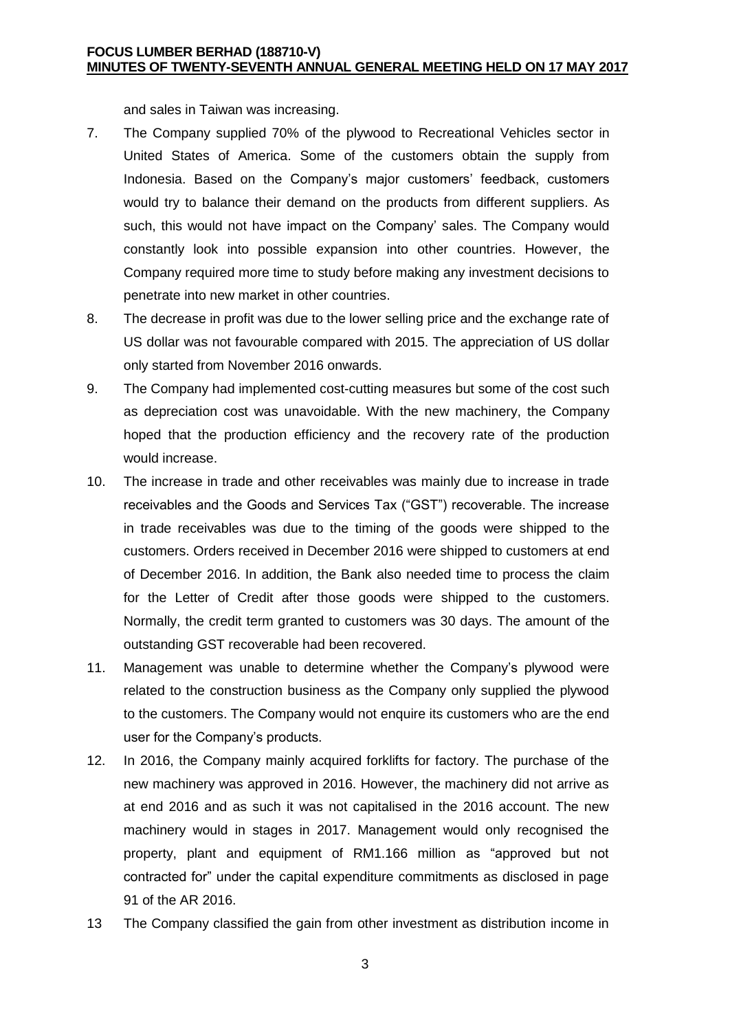and sales in Taiwan was increasing.

- 7. The Company supplied 70% of the plywood to Recreational Vehicles sector in United States of America. Some of the customers obtain the supply from Indonesia. Based on the Company's major customers' feedback, customers would try to balance their demand on the products from different suppliers. As such, this would not have impact on the Company' sales. The Company would constantly look into possible expansion into other countries. However, the Company required more time to study before making any investment decisions to penetrate into new market in other countries.
- 8. The decrease in profit was due to the lower selling price and the exchange rate of US dollar was not favourable compared with 2015. The appreciation of US dollar only started from November 2016 onwards.
- 9. The Company had implemented cost-cutting measures but some of the cost such as depreciation cost was unavoidable. With the new machinery, the Company hoped that the production efficiency and the recovery rate of the production would increase.
- 10. The increase in trade and other receivables was mainly due to increase in trade receivables and the Goods and Services Tax ("GST") recoverable. The increase in trade receivables was due to the timing of the goods were shipped to the customers. Orders received in December 2016 were shipped to customers at end of December 2016. In addition, the Bank also needed time to process the claim for the Letter of Credit after those goods were shipped to the customers. Normally, the credit term granted to customers was 30 days. The amount of the outstanding GST recoverable had been recovered.
- 11. Management was unable to determine whether the Company's plywood were related to the construction business as the Company only supplied the plywood to the customers. The Company would not enquire its customers who are the end user for the Company's products.
- 12. In 2016, the Company mainly acquired forklifts for factory. The purchase of the new machinery was approved in 2016. However, the machinery did not arrive as at end 2016 and as such it was not capitalised in the 2016 account. The new machinery would in stages in 2017. Management would only recognised the property, plant and equipment of RM1.166 million as "approved but not contracted for" under the capital expenditure commitments as disclosed in page 91 of the AR 2016.
- 13 The Company classified the gain from other investment as distribution income in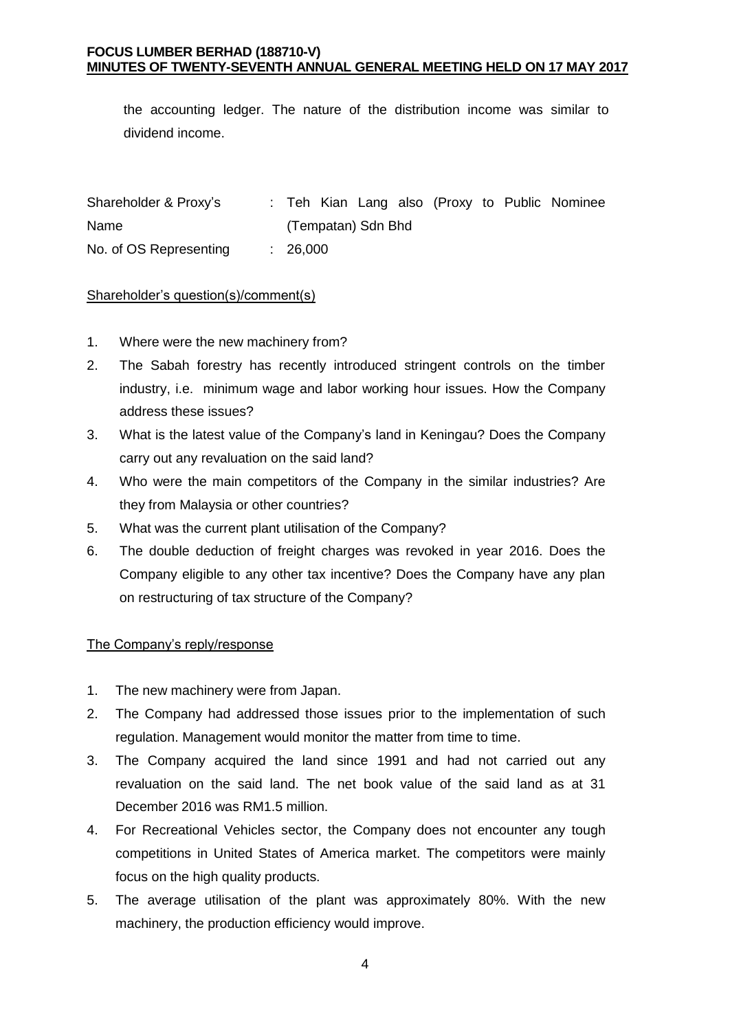the accounting ledger. The nature of the distribution income was similar to dividend income.

Shareholder & Proxy's Name : Teh Kian Lang also (Proxy to Public Nominee (Tempatan) Sdn Bhd No. of OS Representing : 26,000

## Shareholder's question(s)/comment(s)

- 1. Where were the new machinery from?
- 2. The Sabah forestry has recently introduced stringent controls on the timber industry, i.e. minimum wage and labor working hour issues. How the Company address these issues?
- 3. What is the latest value of the Company's land in Keningau? Does the Company carry out any revaluation on the said land?
- 4. Who were the main competitors of the Company in the similar industries? Are they from Malaysia or other countries?
- 5. What was the current plant utilisation of the Company?
- 6. The double deduction of freight charges was revoked in year 2016. Does the Company eligible to any other tax incentive? Does the Company have any plan on restructuring of tax structure of the Company?

## The Company's reply/response

- 1. The new machinery were from Japan.
- 2. The Company had addressed those issues prior to the implementation of such regulation. Management would monitor the matter from time to time.
- 3. The Company acquired the land since 1991 and had not carried out any revaluation on the said land. The net book value of the said land as at 31 December 2016 was RM1.5 million.
- 4. For Recreational Vehicles sector, the Company does not encounter any tough competitions in United States of America market. The competitors were mainly focus on the high quality products.
- 5. The average utilisation of the plant was approximately 80%. With the new machinery, the production efficiency would improve.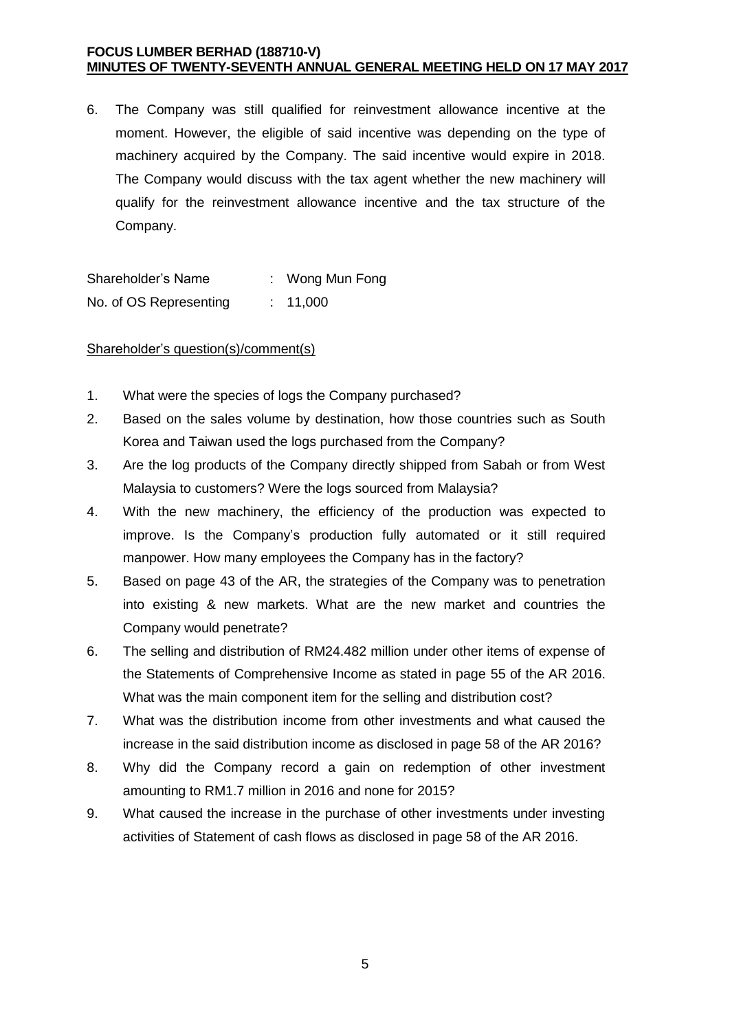#### **FOCUS LUMBER BERHAD (188710-V) MINUTES OF TWENTY-SEVENTH ANNUAL GENERAL MEETING HELD ON 17 MAY 2017**

6. The Company was still qualified for reinvestment allowance incentive at the moment. However, the eligible of said incentive was depending on the type of machinery acquired by the Company. The said incentive would expire in 2018. The Company would discuss with the tax agent whether the new machinery will qualify for the reinvestment allowance incentive and the tax structure of the Company.

Shareholder's Name : Wong Mun Fong No. of OS Representing : 11,000

Shareholder's question(s)/comment(s)

- 1. What were the species of logs the Company purchased?
- 2. Based on the sales volume by destination, how those countries such as South Korea and Taiwan used the logs purchased from the Company?
- 3. Are the log products of the Company directly shipped from Sabah or from West Malaysia to customers? Were the logs sourced from Malaysia?
- 4. With the new machinery, the efficiency of the production was expected to improve. Is the Company's production fully automated or it still required manpower. How many employees the Company has in the factory?
- 5. Based on page 43 of the AR, the strategies of the Company was to penetration into existing & new markets. What are the new market and countries the Company would penetrate?
- 6. The selling and distribution of RM24.482 million under other items of expense of the Statements of Comprehensive Income as stated in page 55 of the AR 2016. What was the main component item for the selling and distribution cost?
- 7. What was the distribution income from other investments and what caused the increase in the said distribution income as disclosed in page 58 of the AR 2016?
- 8. Why did the Company record a gain on redemption of other investment amounting to RM1.7 million in 2016 and none for 2015?
- 9. What caused the increase in the purchase of other investments under investing activities of Statement of cash flows as disclosed in page 58 of the AR 2016.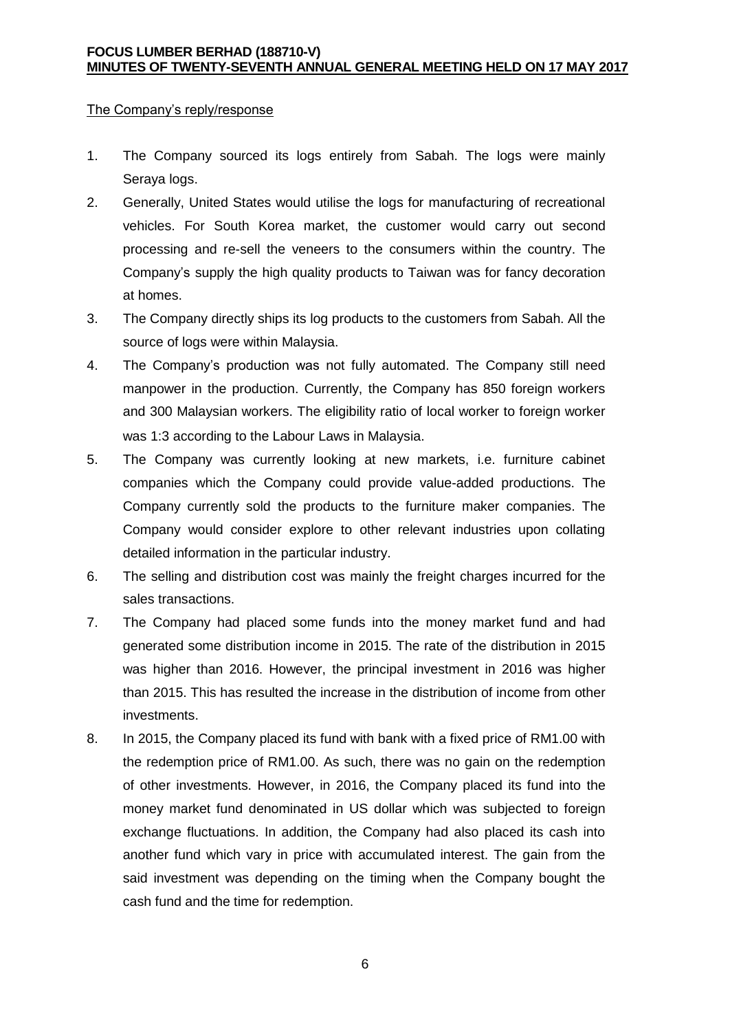#### The Company's reply/response

- 1. The Company sourced its logs entirely from Sabah. The logs were mainly Serava logs.
- 2. Generally, United States would utilise the logs for manufacturing of recreational vehicles. For South Korea market, the customer would carry out second processing and re-sell the veneers to the consumers within the country. The Company's supply the high quality products to Taiwan was for fancy decoration at homes.
- 3. The Company directly ships its log products to the customers from Sabah. All the source of logs were within Malaysia.
- 4. The Company's production was not fully automated. The Company still need manpower in the production. Currently, the Company has 850 foreign workers and 300 Malaysian workers. The eligibility ratio of local worker to foreign worker was 1:3 according to the Labour Laws in Malaysia.
- 5. The Company was currently looking at new markets, i.e. furniture cabinet companies which the Company could provide value-added productions. The Company currently sold the products to the furniture maker companies. The Company would consider explore to other relevant industries upon collating detailed information in the particular industry.
- 6. The selling and distribution cost was mainly the freight charges incurred for the sales transactions.
- 7. The Company had placed some funds into the money market fund and had generated some distribution income in 2015. The rate of the distribution in 2015 was higher than 2016. However, the principal investment in 2016 was higher than 2015. This has resulted the increase in the distribution of income from other investments.
- 8. In 2015, the Company placed its fund with bank with a fixed price of RM1.00 with the redemption price of RM1.00. As such, there was no gain on the redemption of other investments. However, in 2016, the Company placed its fund into the money market fund denominated in US dollar which was subjected to foreign exchange fluctuations. In addition, the Company had also placed its cash into another fund which vary in price with accumulated interest. The gain from the said investment was depending on the timing when the Company bought the cash fund and the time for redemption.